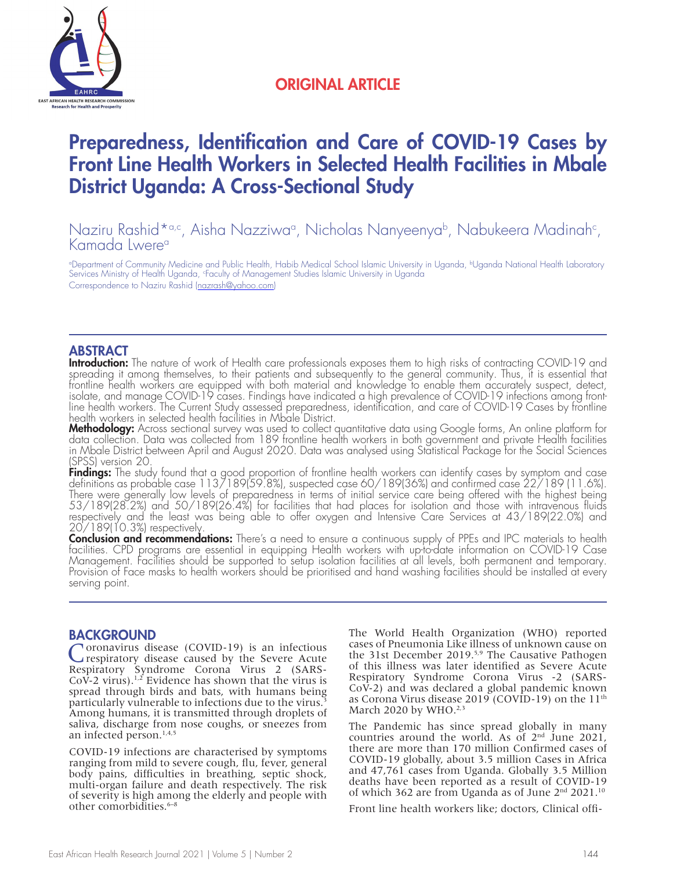

## ORIGINAL ARTICLE

# Preparedness, Identification and Care of COVID-19 Cases by Front Line Health Workers in Selected Health Facilities in Mbale District Uganda: A Cross-Sectional Study

Naziru Rashid\*<u>a,c, Aisha Nazziwaa, Nicholas Nanyeenyab, Nabukeera Madinahc, </u> Kamada Lwere<sup>a</sup>

°Department of Community Medicine and Public Health, Habib Medical School Islamic University in Uganda, ʰUganda National Health Laboratory<br>Services Ministry of Health Uganda, °Faculty of Management Studies Islamic Univers Correspondence to Naziru Rashid (nazrash@yahoo.com)

#### ABSTRACT

Introduction: The nature of work of Health care professionals exposes them to high risks of contracting COVID-19 and spreading it among themselves, to their patients and subsequently to the general community. Thus, it is essential that frontline health workers are equipped with both material and knowledge to enable them accurately suspect, detect, isolate, and manage COVID-19 cases. Findings have indicated a high prevalence of COVID-19 infections among frontline health workers. The Current Study assessed preparedness, identification, and care of COVID-19 Cases by frontline health workers in selected health facilities in Mbale District.

**Methodology:** Across sectional survey was used to collect quantitative data using Google forms, An online platform for data collection. Data was collected from 189 frontline health workers in both government and private Health facilities in Mbale District between April and August 2020. Data was analysed using Statistical Package for the Social Sciences (SPSS) version 20.

**Findings:** The study found that a good proportion of frontline health workers can identify cases by symptom and case definitions as probable case 113/189(59.8%), suspected case 60/189(36%) and confirmed case 22/189 (11.6%). There were generally low levels of preparedness in terms of initial service care being offered with the highest being 53/189(28.2%) and 50/189(26.4%) for facilities that had places for isolation and those with intravenous fluids respectively and the least was being able to offer oxygen and Intensive Care Services at 43/189(22.0%) and 20/189(10.3%) respectively.

**Conclusion and recommendations:** There's a need to ensure a continuous supply of PPEs and IPC materials to health facilities. CPD programs are essential in equipping Health workers with up-to-date information on COVID-19 Case Management. Facilities should be supported to setup isolation facilities at all levels, both permanent and temporary. Provision of Face masks to health workers should be prioritised and hand washing facilities should be installed at every serving point.

**BACKGROUND**<br>Coronavirus disease (COVID-19) is an infectious Coronavirus disease (COVID-19) is an infectious respiratory disease caused by the Severe Acute Respiratory Syndrome Corona Virus 2 (SARS-CoV-2 virus).<sup>1,2</sup> Evidence has shown that the virus is spread through birds and bats, with humans being particularly vulnerable to infections due to the virus.<sup>3</sup> Among humans, it is transmitted through droplets of saliva, discharge from nose coughs, or sneezes from an infected person.<sup>1,4,5</sup>

COVID-19 infections are characterised by symptoms ranging from mild to severe cough, flu, fever, general body pains, difficulties in breathing, septic shock, multi-organ failure and death respectively. The risk of severity is high among the elderly and people with other comorbidities.6–8

The World Health Organization (WHO) reported cases of Pneumonia Like illness of unknown cause on the 31st December 2019.<sup>5,9</sup> The Causative Pathogen of this illness was later identified as Severe Acute Respiratory Syndrome Corona Virus -2 (SARS-CoV-2) and was declared a global pandemic known as Corona Virus disease 2019 (COVID-19) on the 11th March 2020 by WHO. $2,3$ 

The Pandemic has since spread globally in many countries around the world. As of  $2<sup>nd</sup>$  June 2021, there are more than 170 million Confirmed cases of COVID-19 globally, about 3.5 million Cases in Africa and 47,761 cases from Uganda. Globally 3.5 Million deaths have been reported as a result of COVID-19 of which 362 are from Uganda as of June 2nd 2021.10

Front line health workers like; doctors, Clinical offi-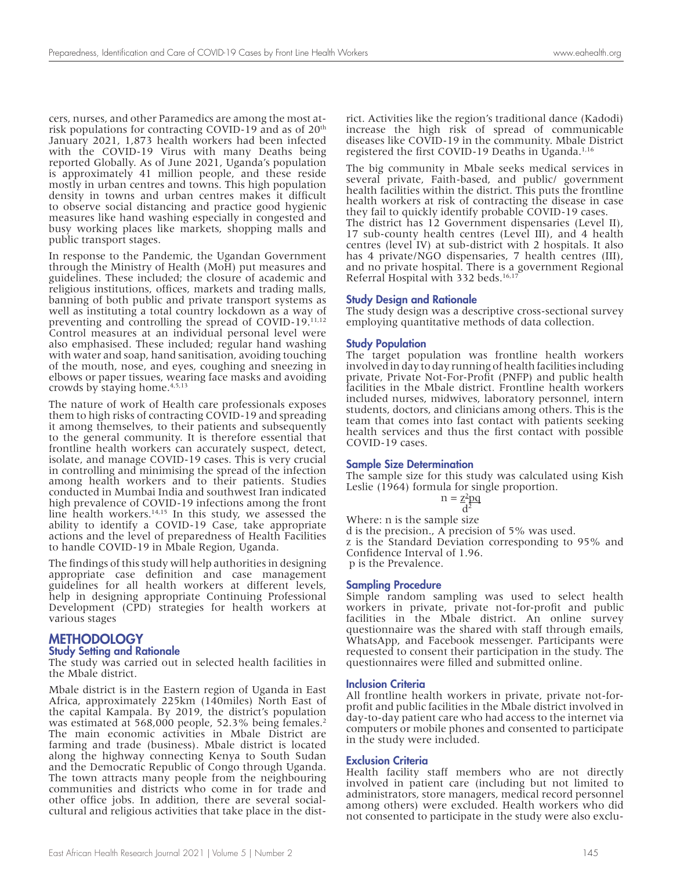cers, nurses, and other Paramedics are among the most atrisk populations for contracting COVID-19 and as of  $20<sup>th</sup>$ January 2021, 1,873 health workers had been infected with the COVID-19 Virus with many Deaths being reported Globally. As of June 2021, Uganda's population is approximately 41 million people, and these reside mostly in urban centres and towns. This high population density in towns and urban centres makes it difficult to observe social distancing and practice good hygienic measures like hand washing especially in congested and busy working places like markets, shopping malls and public transport stages.

In response to the Pandemic, the Ugandan Government through the Ministry of Health (MoH) put measures and guidelines. These included; the closure of academic and religious institutions, offices, markets and trading malls, banning of both public and private transport systems as well as instituting a total country lockdown as a way of preventing and controlling the spread of COVID-19.<sup>11,12</sup> Control measures at an individual personal level were also emphasised. These included; regular hand washing with water and soap, hand sanitisation, avoiding touching of the mouth, nose, and eyes, coughing and sneezing in elbows or paper tissues, wearing face masks and avoiding crowds by staying home.<sup>4,5,13</sup>

The nature of work of Health care professionals exposes them to high risks of contracting COVID-19 and spreading it among themselves, to their patients and subsequently to the general community. It is therefore essential that frontline health workers can accurately suspect, detect, isolate, and manage COVID-19 cases. This is very crucial in controlling and minimising the spread of the infection among health workers and to their patients. Studies conducted in Mumbai India and southwest Iran indicated high prevalence of COVID-19 infections among the front line health workers.<sup>14,15</sup> In this study, we assessed the ability to identify a COVID-19 Case, take appropriate actions and the level of preparedness of Health Facilities to handle COVID-19 in Mbale Region, Uganda.

The findings of this study will help authorities in designing appropriate case definition and case management guidelines for all health workers at different levels, help in designing appropriate Continuing Professional Development (CPD) strategies for health workers at various stages

### **METHODOLOGY**

#### Study Setting and Rationale

The study was carried out in selected health facilities in the Mbale district.

Mbale district is in the Eastern region of Uganda in East Africa, approximately 225km (140miles) North East of the capital Kampala. By 2019, the district's population was estimated at 568,000 people, 52.3% being females.2 The main economic activities in Mbale District are farming and trade (business). Mbale district is located along the highway connecting Kenya to South Sudan and the Democratic Republic of Congo through Uganda. The town attracts many people from the neighbouring communities and districts who come in for trade and other office jobs. In addition, there are several socialcultural and religious activities that take place in the district. Activities like the region's traditional dance (Kadodi) increase the high risk of spread of communicable diseases like COVID-19 in the community. Mbale District registered the first COVID-19 Deaths in Uganda.<sup>1,16</sup>

The big community in Mbale seeks medical services in several private, Faith-based, and public/ government health facilities within the district. This puts the frontline health workers at risk of contracting the disease in case they fail to quickly identify probable COVID-19 cases. The district has 12 Government dispensaries (Level II), 17 sub-county health centres (Level III), and 4 health centres (level IV) at sub-district with 2 hospitals. It also has 4 private/NGO dispensaries, 7 health centres (III), and no private hospital. There is a government Regional

#### Study Design and Rationale

Referral Hospital with 332 beds.<sup>16,17</sup>

The study design was a descriptive cross-sectional survey employing quantitative methods of data collection.

#### Study Population

The target population was frontline health workers involved in day to day running of health facilities including private, Private Not-For-Profit (PNFP) and public health facilities in the Mbale district. Frontline health workers included nurses, midwives, laboratory personnel, intern students, doctors, and clinicians among others. This is the team that comes into fast contact with patients seeking health services and thus the first contact with possible COVID-19 cases.

#### Sample Size Determination

The sample size for this study was calculated using Kish Leslie (1964) formula for single proportion.

$$
n = \frac{z^2 pq}{d^2}
$$

Where: n is the sample size d is the precision., A precision of 5% was used. z is the Standard Deviation corresponding to 95% and Confidence Interval of 1.96. p is the Prevalence.

#### Sampling Procedure

Simple random sampling was used to select health workers in private, private not-for-profit and public facilities in the Mbale district. An online survey questionnaire was the shared with staff through emails, WhatsApp, and Facebook messenger. Participants were requested to consent their participation in the study. The questionnaires were filled and submitted online.

#### Inclusion Criteria

All frontline health workers in private, private not-forprofit and public facilities in the Mbale district involved in day-to-day patient care who had access to the internet via computers or mobile phones and consented to participate in the study were included.

#### Exclusion Criteria

Health facility staff members who are not directly involved in patient care (including but not limited to administrators, store managers, medical record personnel among others) were excluded. Health workers who did not consented to participate in the study were also exclu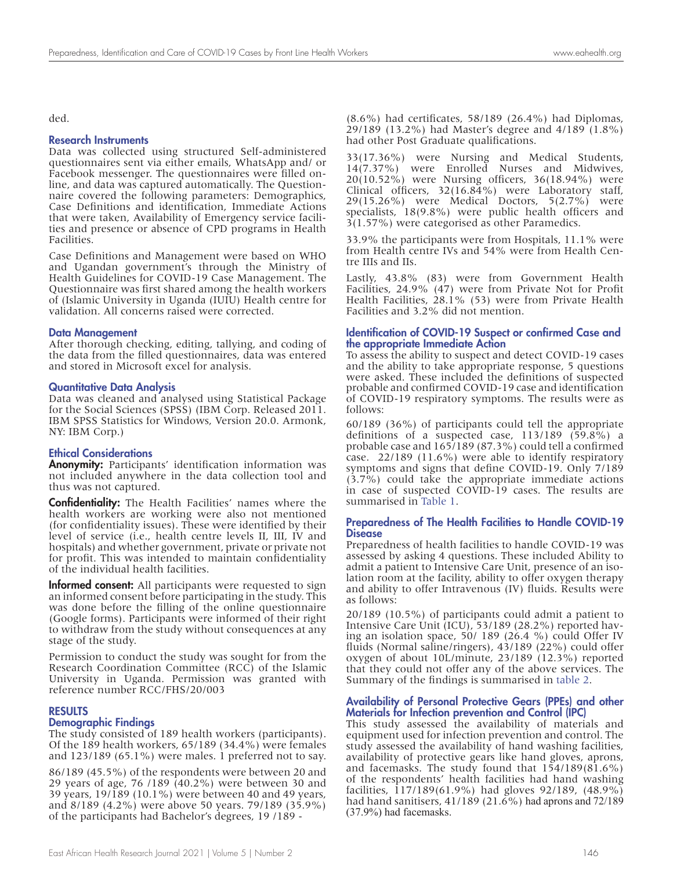ded.

#### Research Instruments

Data was collected using structured Self-administered questionnaires sent via either emails, WhatsApp and/ or Facebook messenger. The questionnaires were filled online, and data was captured automatically. The Questionnaire covered the following parameters: Demographics, Case Definitions and identification, Immediate Actions that were taken, Availability of Emergency service facilities and presence or absence of CPD programs in Health Facilities.

Case Definitions and Management were based on WHO and Ugandan government's through the Ministry of Health Guidelines for COVID-19 Case Management. The Questionnaire was first shared among the health workers of (Islamic University in Uganda (IUIU) Health centre for validation. All concerns raised were corrected.

#### Data Management

After thorough checking, editing, tallying, and coding of the data from the filled questionnaires, data was entered and stored in Microsoft excel for analysis.

#### Quantitative Data Analysis

Data was cleaned and analysed using Statistical Package for the Social Sciences (SPSS) (IBM Corp. Released 2011. IBM SPSS Statistics for Windows, Version 20.0. Armonk, NY: IBM Corp.)

#### Ethical Considerations

Anonymity: Participants' identification information was not included anywhere in the data collection tool and thus was not captured.

**Confidentiality:** The Health Facilities' names where the health workers are working were also not mentioned (for confidentiality issues). These were identified by their level of service (i.e., health centre levels II, III, IV and hospitals) and whether government, private or private not for profit. This was intended to maintain confidentiality of the individual health facilities.

**Informed consent:** All participants were requested to sign an informed consent before participating in the study. This was done before the filling of the online questionnaire (Google forms). Participants were informed of their right to withdraw from the study without consequences at any stage of the study.

Permission to conduct the study was sought for from the Research Coordination Committee (RCC) of the Islamic University in Uganda. Permission was granted with reference number RCC/FHS/20/003

#### RESULTS

#### Demographic Findings

The study consisted of 189 health workers (participants). Of the 189 health workers, 65/189 (34.4%) were females and 123/189 (65.1%) were males. 1 preferred not to say.

86/189 (45.5%) of the respondents were between 20 and 29 years of age, 76 /189 (40.2%) were between 30 and 39 years, 19/189 (10.1%) were between 40 and 49 years, and 8/189 (4.2%) were above 50 years. 79/189 (35.9%) of the participants had Bachelor's degrees, 19 /189 -

(8.6%) had certificates, 58/189 (26.4%) had Diplomas, 29/189 (13.2%) had Master's degree and 4/189 (1.8%) had other Post Graduate qualifications.

33(17.36%) were Nursing and Medical Students, 14(7.37%) were Enrolled Nurses and Midwives, 20(10.52%) were Nursing officers, 36(18.94%) were Clinical officers, 32(16.84%) were Laboratory staff, 29(15.26%) were Medical Doctors, 5(2.7%) were specialists, 18(9.8%) were public health officers and 3(1.57%) were categorised as other Paramedics.

33.9% the participants were from Hospitals, 11.1% were from Health centre IVs and 54% were from Health Centre IIIs and IIs.

Lastly, 43.8% (83) were from Government Health Facilities, 24.9% (47) were from Private Not for Profit Health Facilities, 28.1% (53) were from Private Health Facilities and 3.2% did not mention.

#### Identification of COVID-19 Suspect or confirmed Case and the appropriate Immediate Action

To assess the ability to suspect and detect COVID-19 cases and the ability to take appropriate response, 5 questions were asked. These included the definitions of suspected probable and confirmed COVID-19 case and identification of COVID-19 respiratory symptoms. The results were as follows:

60/189 (36%) of participants could tell the appropriate definitions of a suspected case, 113/189 (59.8%) a probable case and 165/189 (87.3%) could tell a confirmed case. 22/189 (11.6%) were able to identify respiratory symptoms and signs that define COVID-19. Only 7/189 (3.7%) could take the appropriate immediate actions in case of suspected COVID-19 cases. The results are summarised in Table 1.

#### Preparedness of The Health Facilities to Handle COVID-19 **Disease**

Preparedness of health facilities to handle COVID-19 was assessed by asking 4 questions. These included Ability to admit a patient to Intensive Care Unit, presence of an isolation room at the facility, ability to offer oxygen therapy and ability to offer Intravenous (IV) fluids. Results were as follows:

20/189 (10.5%) of participants could admit a patient to Intensive Care Unit (ICU), 53/189 (28.2%) reported having an isolation space, 50/ 189 (26.4 %) could Offer IV fluids (Normal saline/ringers), 43/189 (22%) could offer oxygen of about 10L/minute, 23/189 (12.3%) reported that they could not offer any of the above services. The Summary of the findings is summarised in table 2.

#### Availability of Personal Protective Gears (PPEs) and other Materials for Infection prevention and Control (IPC)

This study assessed the availability of materials and equipment used for infection prevention and control. The study assessed the availability of hand washing facilities, availability of protective gears like hand gloves, aprons, and facemasks. The study found that 154/189(81.6%) of the respondents' health facilities had hand washing facilities, 117/189(61.9%) had gloves 92/189, (48.9%) had hand sanitisers, 41/189 (21.6%) had aprons and 72/189 (37.9%) had facemasks.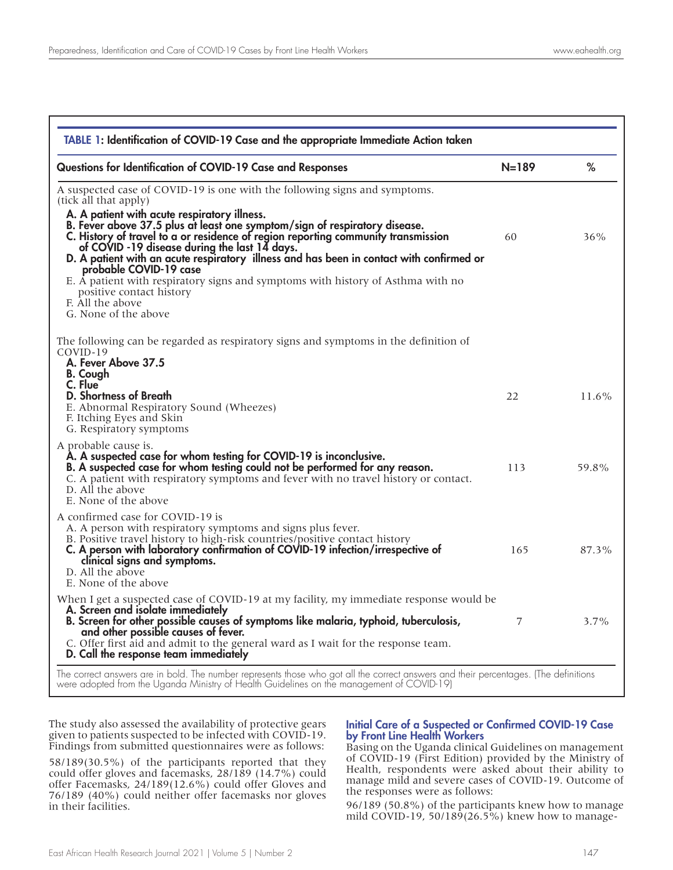| Questions for Identification of COVID-19 Case and Responses                                                                                                                                                                                                                                                                                                                                                                                                                                                                                                                                                                                              | $N = 189$ | %        |
|----------------------------------------------------------------------------------------------------------------------------------------------------------------------------------------------------------------------------------------------------------------------------------------------------------------------------------------------------------------------------------------------------------------------------------------------------------------------------------------------------------------------------------------------------------------------------------------------------------------------------------------------------------|-----------|----------|
| A suspected case of COVID-19 is one with the following signs and symptoms.<br>(tick all that apply)<br>A. A patient with acute respiratory illness.<br>B. Fever above 37.5 plus at least one symptom/sign of respiratory disease.<br>C. History of travel to a or residence of region reporting community transmission<br>of COVID -19 disease during the last 14 days.<br>D. A patient with an acute respiratory illness and has been in contact with confirmed or<br>probable COVID-19 case<br>E. A patient with respiratory signs and symptoms with history of Asthma with no<br>positive contact history<br>F. All the above<br>G. None of the above | 60        | 36%      |
| The following can be regarded as respiratory signs and symptoms in the definition of<br>COVID-19<br>A. Fever Above 37.5<br><b>B.</b> Cough<br>C. Flue<br><b>D. Shortness of Breath</b><br>E. Abnormal Respiratory Sound (Wheezes)<br>F. Itching Eyes and Skin<br>G. Respiratory symptoms                                                                                                                                                                                                                                                                                                                                                                 | 22        | $11.6\%$ |
| A probable cause is.<br>A. A suspected case for whom testing for COVID-19 is inconclusive.<br>B. A suspected case for whom testing could not be performed for any reason.<br>C. A patient with respiratory symptoms and fever with no travel history or contact.<br>D. All the above<br>E. None of the above                                                                                                                                                                                                                                                                                                                                             | 113       | 59.8%    |
| A confirmed case for COVID-19 is<br>A. A person with respiratory symptoms and signs plus fever.<br>B. Positive travel history to high-risk countries/positive contact history<br>C. A person with laboratory confirmation of COVID-19 infection/irrespective of<br>clinical signs and symptoms.<br>D. All the above<br>E. None of the above                                                                                                                                                                                                                                                                                                              | 165       | 87.3%    |
| When I get a suspected case of COVID-19 at my facility, my immediate response would be<br>A. Screen and isolate immediately<br>B. Screen for other possible causes of symptoms like malaria, typhoid, tuberculosis,<br>and other possible causes of fever.<br>C. Offer first aid and admit to the general ward as I wait for the response team.<br>D. Call the response team immediately                                                                                                                                                                                                                                                                 | 7         | $3.7\%$  |

The study also assessed the availability of protective gears given to patients suspected to be infected with COVID-19. Findings from submitted questionnaires were as follows:

#### 58/189(30.5%) of the participants reported that they could offer gloves and facemasks, 28/189 (14.7%) could offer Facemasks, 24/189(12.6%) could offer Gloves and 76/189 (40%) could neither offer facemasks nor gloves in their facilities.

#### Initial Care of a Suspected or Confirmed COVID-19 Case by Front Line Health Workers

Basing on the Uganda clinical Guidelines on management of COVID-19 (First Edition) provided by the Ministry of Health, respondents were asked about their ability to manage mild and severe cases of COVID-19. Outcome of the responses were as follows:

96/189 (50.8%) of the participants knew how to manage mild COVID-19, 50/189(26.5%) knew how to manage-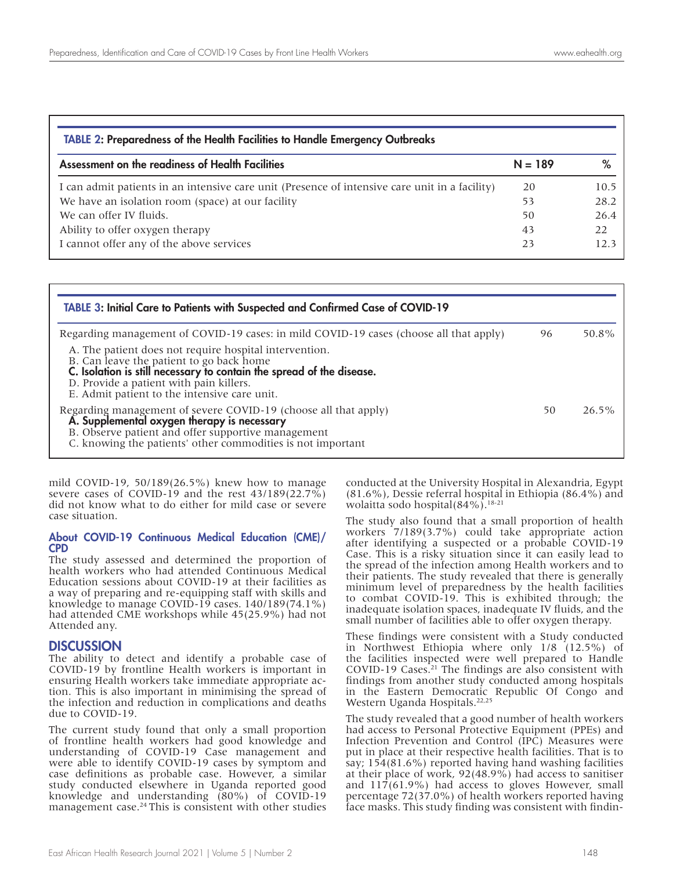| <b>TABLE 2: Preparedness of the Health Facilities to Handle Emergency Outbreaks</b>            |           |      |  |
|------------------------------------------------------------------------------------------------|-----------|------|--|
| <b>Assessment on the readiness of Health Facilities</b>                                        | $N = 189$ | %    |  |
| I can admit patients in an intensive care unit (Presence of intensive care unit in a facility) | 20        | 10.5 |  |
| We have an isolation room (space) at our facility                                              | 53        | 28.2 |  |
| We can offer IV fluids.                                                                        | 50        | 26.4 |  |
| Ability to offer oxygen therapy                                                                | 43        | 22   |  |
| I cannot offer any of the above services                                                       | 23        | 12.3 |  |

| TABLE 3: Initial Care to Patients with Suspected and Confirmed Case of COVID-19                                                                                                                                                                                               |    |          |  |  |
|-------------------------------------------------------------------------------------------------------------------------------------------------------------------------------------------------------------------------------------------------------------------------------|----|----------|--|--|
| Regarding management of COVID-19 cases: in mild COVID-19 cases (choose all that apply)                                                                                                                                                                                        | 96 | 50.8%    |  |  |
| A. The patient does not require hospital intervention.<br>B. Can leave the patient to go back home<br><b>C. Isolation is still necessary to contain the spread of the disease.</b><br>D. Provide a patient with pain killers.<br>E. Admit patient to the intensive care unit. |    |          |  |  |
| Regarding management of severe COVID-19 (choose all that apply)<br>A. Supplemental oxygen therapy is necessary<br>B. Observe patient and offer supportive management<br>C. knowing the patients' other commodities is not important                                           | 50 | $26.5\%$ |  |  |

mild COVID-19, 50/189(26.5%) knew how to manage severe cases of COVID-19 and the rest  $43/189(22.7\%)$ did not know what to do either for mild case or severe case situation.

#### About COVID-19 Continuous Medical Education (CME)/ CPD

The study assessed and determined the proportion of health workers who had attended Continuous Medical Education sessions about COVID-19 at their facilities as a way of preparing and re-equipping staff with skills and knowledge to manage COVID-19 cases. 140/189(74.1%) had attended CME workshops while 45(25.9%) had not Attended any.

#### **DISCUSSION**

The ability to detect and identify a probable case of COVID-19 by frontline Health workers is important in ensuring Health workers take immediate appropriate ac- tion. This is also important in minimising the spread of the infection and reduction in complications and deaths due to COVID-19.

The current study found that only a small proportion of frontline health workers had good knowledge and understanding of COVID-19 Case management and were able to identify COVID-19 cases by symptom and case definitions as probable case. However, a similar study conducted elsewhere in Uganda reported good knowledge and understanding (80%) of COVID-19 management case.<sup>24</sup> This is consistent with other studies conducted at the University Hospital in Alexandria, Egypt (81.6%), Dessie referral hospital in Ethiopia (86.4%) and wolaitta sodo hospital $(84\%)$ .<sup>18-21</sup>

The study also found that a small proportion of health workers 7/189(3.7%) could take appropriate action after identifying a suspected or a probable COVID-19 Case. This is a risky situation since it can easily lead to the spread of the infection among Health workers and to their patients. The study revealed that there is generally minimum level of preparedness by the health facilities to combat COVID-19. This is exhibited through; the inadequate isolation spaces, inadequate IV fluids, and the small number of facilities able to offer oxygen therapy.

These findings were consistent with a Study conducted in Northwest Ethiopia where only 1/8 (12.5%) of the facilities inspected were well prepared to Handle COVID-19 Cases.<sup>21</sup> The findings are also consistent with findings from another study conducted among hospitals in the Eastern Democratic Republic Of Congo and Western Uganda Hospitals.<sup>22,25</sup>

The study revealed that a good number of health workers had access to Personal Protective Equipment (PPEs) and Infection Prevention and Control (IPC) Measures were put in place at their respective health facilities. That is to say; 154(81.6%) reported having hand washing facilities at their place of work, 92(48.9%) had access to sanitiser and 117(61.9%) had access to gloves However, small percentage 72(37.0%) of health workers reported having face masks. This study finding was consistent with findin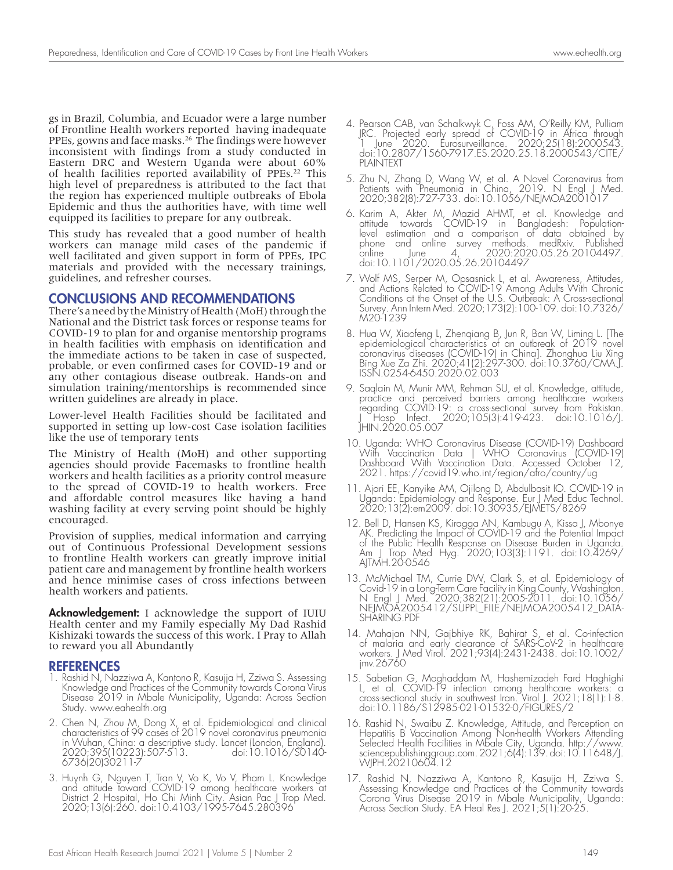gs in Brazil, Columbia, and Ecuador were a large number of Frontline Health workers reported having inadequate PPEs, gowns and face masks.<sup>26</sup> The findings were however inconsistent with findings from a study conducted in Eastern DRC and Western Uganda were about 60% of health facilities reported availability of PPEs.<sup>22</sup> This high level of preparedness is attributed to the fact that the region has experienced multiple outbreaks of Ebola Epidemic and thus the authorities have, with time well equipped its facilities to prepare for any outbreak.

This study has revealed that a good number of health workers can manage mild cases of the pandemic if well facilitated and given support in form of PPEs, IPC materials and provided with the necessary trainings, guidelines, and refresher courses.

#### CONCLUSIONS AND RECOMMENDATIONS

There's a need by the Ministry of Health (MoH) through the National and the District task forces or response teams for COVID-19 to plan for and organise mentorship programs in health facilities with emphasis on identification and the immediate actions to be taken in case of suspected, probable, or even confirmed cases for COVID-19 and or any other contagious disease outbreak. Hands-on and simulation training/mentorships is recommended since written guidelines are already in place.

Lower-level Health Facilities should be facilitated and supported in setting up low-cost Case isolation facilities like the use of temporary tents

The Ministry of Health (MoH) and other supporting agencies should provide Facemasks to frontline health workers and health facilities as a priority control measure to the spread of COVID-19 to health workers. Free and affordable control measures like having a hand washing facility at every serving point should be highly encouraged.

Provision of supplies, medical information and carrying out of Continuous Professional Development sessions to frontline Health workers can greatly improve initial patient care and management by frontline health workers and hence minimise cases of cross infections between health workers and patients.

**Acknowledgement:** I acknowledge the support of IUIU Health center and my Family especially My Dad Rashid Kishizaki towards the success of this work. I Pray to Allah to reward you all Abundantly

#### **REFERENCES**

- Rashid N, Nazziwa A, Kantono R, Kasujja H, Zziwa S. Assessing Knowledge and Practices of the Community towards Corona Virus Disease 2019 in Mbale Municipality, Uganda: Across Section Study. www.eahealth.org
- 2. Chen N, Zhou M, Dong X, et al. Epidemiological and clinical characteristics of 99 cases of 2019 novel coronavirus pneumonia in Wuhan, China: a descriptive study. Lancet (London, England). 2020;395(10223):507-513. doi:10.1016/S0140- 6736(20)30211-7
- 3. Huynh G, Nguyen T, Tran V, Vo K, Vo V, Pham L. Knowledge and attitude toward COVID-19 among healthcare workers at District 2 Hospital, Ho Chi Minh City. Asian Pac J Trop Med. 2020;13(6):260. doi:10.4103/1995-7645.280396
- 4. Pearson CAB, van Schalkwyk C, Foss AM, O'Reilly KM, Pulliam JRC. Projected early spread of COVID-19 in Africa through 1 June 2020. Eurosurveillance. 2020;25(18):2000543. doi:10.2807/1560-7917.ES.2020.25.18.2000543/CITE/ PLAINTEXT
- 5. Zhu N, Zhang D, Wang W, et al. A Novel Coronavirus from Patients with Pneumonia in China, 2019. N Engl J Med. 2020;382(8):727-733. doi:10.1056/NEJMOA2001017
- 6. Karim A, Akter M, Mazid AHMT, et al. Knowledge and attitude towards COVID-19 in Bangladesh: Populationlevel estimation and a comparison of data obtained by phone and online survey methods. medRxiv. Published online June 4, 2020:2020.05.26.20104497. doi:10.1101/2020.05.26.20104497
- 7. Wolf MS, Serper M, Opsasnick L, et al. Awareness, Attitudes, and Actions Related to COVID-19 Among Adults With Chronic Conditions at the Onset of the U.S. Outbreak: A Cross-sectional Survey. Ann Intern Med. 2020;173(2):100-109. doi:10.7326/ M20-1239
- 8. Hua W, Xiaofeng L, Zhenqiang B, Jun R, Ban W, Liming L. [The epidemiological characteristics of an outbreak of 2019 novel coronavirus diseases (COVID-19) in China]. Zhonghua Liu Xing Bing Xue Za Zhi. 2020;41(2):297-300. doi:10.3760/CMA.J. ISSN.0254-6450.2020.02.003
- 9. Saqlain M, Munir MM, Rehman SU, et al. Knowledge, attitude, practice and perceived barriers among healthcare workers regarding COVID-19: a cross-sectional survey from Pakistan. Hosp Infect. 2020;105(3):419-423. doi:10.1016/J. JHIN.2020.05.007
- 10. Uganda: WHO Coronavirus Disease (COVID-19) Dashboard With Vaccination Data | WHO Coronavirus (COVID-19) Dashboard With Vaccination Data. Accessed October 12, 2021. https://covid19.who.int/region/afro/country/ug
- 11. Ajari EE, Kanyike AM, Ojilong D, Abdulbasit IO. COVID-19 in Uganda: Epidemiology and Response. Eur J Med Educ Technol. 2020;13(2):em2009. doi:10.30935/EJMETS/8269
- 12. Bell D, Hansen KS, Kiragga AN, Kambugu A, Kissa J, Mbonye AK. Predicting the Impact of COVID-19 and the Potential Impact of the Public Health Response on Disease Burden in Uganda. Am J Trop Med Hyg. 2020;103(3):1191. doi:10.4269/ AJTMH.20-0546
- 13. McMichael TM, Currie DW, Clark S, et al. Epidemiology of Covid-19 in a Long-Term Care Facility in King County, Washington. N Engl J Med. 2020;382(21):2005-2011. doi:10.1056/ NEJMOA2005412/SUPPL\_FILE/NEJMOA2005412\_DATA-SHARING.PDF
- 14. Mahajan NN, Gajbhiye RK, Bahirat S, et al. Co-infection of malaria and early clearance of SARS-CoV-2 in healthcare workers. J Med Virol. 2021;93(4):2431-2438. doi:10.1002/ jmv.26760
- 15. Sabetian G, Moghaddam M, Hashemizadeh Fard Haghighi L, et al. COVID-19 infection among healthcare workers: a cross-sectional study in southwest Iran. Virol J. 2021;18(1):1-8. doi:10.1186/S12985-021-01532-0/FIGURES/2
- 16. Rashid N, Swaibu Z. Knowledge, Attitude, and Perception on Hepatitis B Vaccination Among Non-health Workers Attending Selected Health Facilities in Mbale City, Uganda. http://www. sciencepublishinggroup.com. 2021;6(4):139. doi:10.11648/J. WJPH.20210604.12
- 17. Rashid N, Nazziwa A, Kantono R, Kasujja H, Zziwa S. Assessing Knowledge and Practices of the Community towards Corona Virus Disease 2019 in Mbale Municipality, Uganda: Across Section Study. EA Heal Res J. 2021;5(1):20-25.